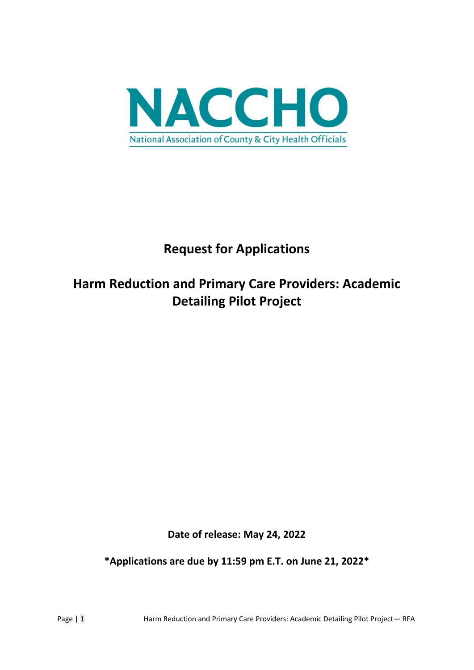

# **Request for Applications**

# **Harm Reduction and Primary Care Providers: Academic Detailing Pilot Project**

**Date of release: May 24, 2022**

**\*Applications are due by 11:59 pm E.T. on June 21, 2022\***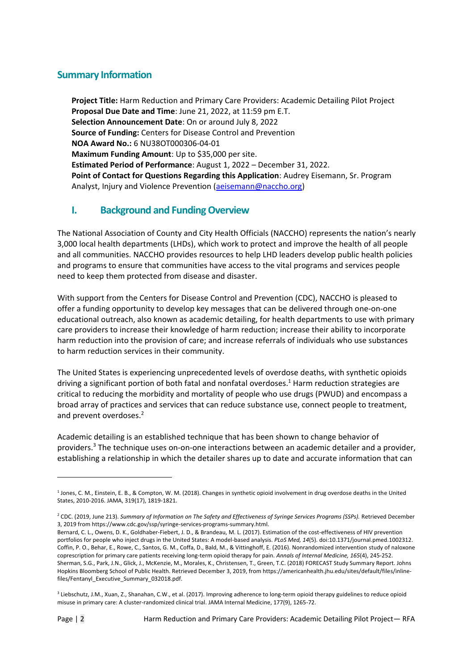### **Summary Information**

**Project Title:** Harm Reduction and Primary Care Providers: Academic Detailing Pilot Project **Proposal Due Date and Time**: June 21, 2022, at 11:59 pm E.T. **Selection Announcement Date**: On or around July 8, 2022 **Source of Funding:** Centers for Disease Control and Prevention **NOA Award No.:** 6 NU38OT000306-04-01 **Maximum Funding Amount**: Up to \$35,000 per site. **Estimated Period of Performance**: August 1, 2022 – December 31, 2022. **Point of Contact for Questions Regarding this Application**: Audrey Eisemann, Sr. Program Analyst, Injury and Violence Prevention [\(aeisemann@naccho.org\)](mailto:aeisemann@naccho.org)

#### **I. Background and Funding Overview**

The National Association of County and City Health Officials (NACCHO) represents the nation's nearly 3,000 local health departments (LHDs), which work to protect and improve the health of all people and all communities. NACCHO provides resources to help LHD leaders develop public health policies and programs to ensure that communities have access to the vital programs and services people need to keep them protected from disease and disaster.

With support from the Centers for Disease Control and Prevention (CDC), NACCHO is pleased to offer a funding opportunity to develop key messages that can be delivered through one-on-one educational outreach, also known as academic detailing, for health departments to use with primary care providers to increase their knowledge of harm reduction; increase their ability to incorporate harm reduction into the provision of care; and increase referrals of individuals who use substances to harm reduction services in their community.

The United States is experiencing unprecedented levels of overdose deaths, with synthetic opioids driving a significant portion of both fatal and nonfatal overdoses. <sup>1</sup> Harm reduction strategies are critical to reducing the morbidity and mortality of people who use drugs (PWUD) and encompass a broad array of practices and services that can reduce substance use, connect people to treatment, and prevent overdoses.<sup>2</sup>

Academic detailing is an established technique that has been shown to change behavior of providers.<sup>3</sup> The technique uses on-on-one interactions between an academic detailer and a provider, establishing a relationship in which the detailer shares up to date and accurate information that can

<sup>&</sup>lt;sup>1</sup> Jones, C. M., Einstein, E. B., & Compton, W. M. (2018). Changes in synthetic opioid involvement in drug overdose deaths in the United States, 2010-2016. JAMA, 319(17), 1819-1821.

<sup>2</sup> CDC. (2019, June 213). *Summary of Information on The Safety and Effectiveness of Syringe Services Programs (SSPs).* Retrieved December 3, 2019 from https://www.cdc.gov/ssp/syringe-services-programs-summary.html.

Bernard, C. L., Owens, D. K., Goldhaber-Fiebert, J. D., & Brandeau, M. L. (2017). Estimation of the cost-effectiveness of HIV prevention portfolios for people who inject drugs in the United States: A model-based analysis. *PLoS Med, 14*(5). doi:10.1371/journal.pmed.1002312. Coffin, P. O., Behar, E., Rowe, C., Santos, G. M., Coffa, D., Bald, M., & Vittinghoff, E. (2016). Nonrandomized intervention study of naloxone coprescription for primary care patients receiving long-term opioid therapy for pain. *Annals of Internal Medicine, 165*(4), 245-252. Sherman, S.G., Park, J.N., Glick, J., McKenzie, M., Morales, K., Christensen, T., Green, T.C. (2018) FORECAST Study Summary Report. Johns Hopkins Bloomberg School of Public Health. Retrieved December 3, 2019, from https://americanhealth.jhu.edu/sites/default/files/inlinefiles/Fentanyl\_Executive\_Summary\_032018.pdf.

<sup>3</sup> Liebschutz, J.M., Xuan, Z., Shanahan, C.W., et al. (2017). Improving adherence to long-term opioid therapy guidelines to reduce opioid misuse in primary care: A cluster-randomized clinical trial. JAMA Internal Medicine, 177(9), 1265-72.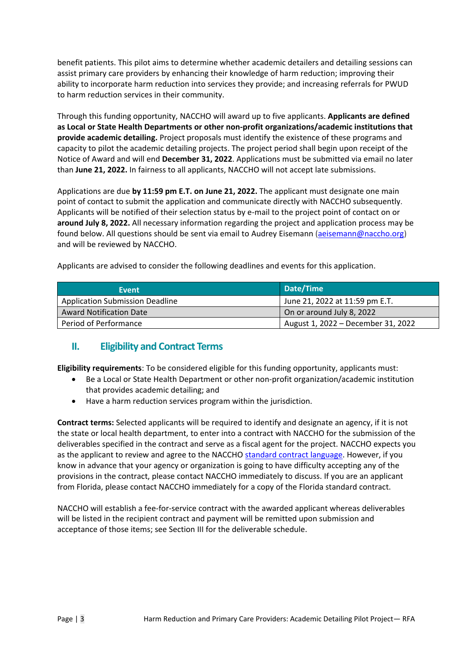benefit patients. This pilot aims to determine whether academic detailers and detailing sessions can assist primary care providers by enhancing their knowledge of harm reduction; improving their ability to incorporate harm reduction into services they provide; and increasing referrals for PWUD to harm reduction services in their community.

Through this funding opportunity, NACCHO will award up to five applicants. **Applicants are defined as Local or State Health Departments or other non-profit organizations/academic institutions that provide academic detailing.** Project proposals must identify the existence of these programs and capacity to pilot the academic detailing projects. The project period shall begin upon receipt of the Notice of Award and will end **December 31, 2022**. Applications must be submitted via email no later than **June 21, 2022.** In fairness to all applicants, NACCHO will not accept late submissions.

Applications are due **by 11:59 pm E.T. on June 21, 2022.** The applicant must designate one main point of contact to submit the application and communicate directly with NACCHO subsequently. Applicants will be notified of their selection status by e-mail to the project point of contact on or **around July 8, 2022.** All necessary information regarding the project and application process may be found below. All questions should be sent via email to Audrey Eisemann [\(aeisemann@naccho.org\)](mailto:aeisemann@naccho.org) and will be reviewed by NACCHO.

Applicants are advised to consider the following deadlines and events for this application.

| Event                                  | Date/Time                          |
|----------------------------------------|------------------------------------|
| <b>Application Submission Deadline</b> | June 21, 2022 at 11:59 pm E.T.     |
| <b>Award Notification Date</b>         | On or around July 8, 2022          |
| Period of Performance                  | August 1, 2022 – December 31, 2022 |

## **II. Eligibility and Contract Terms**

**Eligibility requirements**: To be considered eligible for this funding opportunity, applicants must:

- Be a Local or State Health Department or other non-profit organization/academic institution that provides academic detailing; and
- Have a harm reduction services program within the jurisdiction.

**Contract terms:** Selected applicants will be required to identify and designate an agency, if it is not the state or local health department, to enter into a contract with NACCHO for the submission of the deliverables specified in the contract and serve as a fiscal agent for the project. NACCHO expects you as the applicant to review and agree to the NACCHO [standard contract language.](http://www.naccho.org/uploads/card-images/environmental-health/01_Consultant-Template-for-Members.docx) However, if you know in advance that your agency or organization is going to have difficulty accepting any of the provisions in the contract, please contact NACCHO immediately to discuss. If you are an applicant from Florida, please contact NACCHO immediately for a copy of the Florida standard contract.

NACCHO will establish a fee-for-service contract with the awarded applicant whereas deliverables will be listed in the recipient contract and payment will be remitted upon submission and acceptance of those items; see Section III for the deliverable schedule.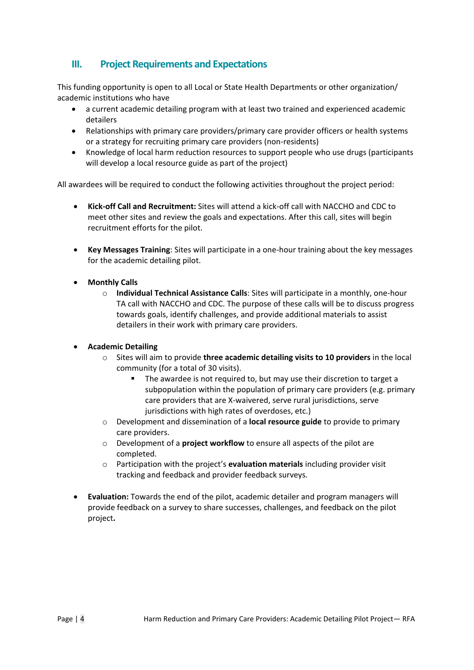## **III. Project Requirements and Expectations**

This funding opportunity is open to all Local or State Health Departments or other organization/ academic institutions who have

- a current academic detailing program with at least two trained and experienced academic detailers
- Relationships with primary care providers/primary care provider officers or health systems or a strategy for recruiting primary care providers (non-residents)
- Knowledge of local harm reduction resources to support people who use drugs (participants will develop a local resource guide as part of the project)

All awardees will be required to conduct the following activities throughout the project period:

- **Kick-off Call and Recruitment:** Sites will attend a kick-off call with NACCHO and CDC to meet other sites and review the goals and expectations. After this call, sites will begin recruitment efforts for the pilot.
- **Key Messages Training**: Sites will participate in a one-hour training about the key messages for the academic detailing pilot.
- **Monthly Calls**
	- o **Individual Technical Assistance Calls**: Sites will participate in a monthly, one-hour TA call with NACCHO and CDC. The purpose of these calls will be to discuss progress towards goals, identify challenges, and provide additional materials to assist detailers in their work with primary care providers.

#### • **Academic Detailing**

- o Sites will aim to provide **three academic detailing visits to 10 providers** in the local community (for a total of 30 visits).
	- The awardee is not required to, but may use their discretion to target a subpopulation within the population of primary care providers (e.g. primary care providers that are X-waivered, serve rural jurisdictions, serve jurisdictions with high rates of overdoses, etc.)
- o Development and dissemination of a **local resource guide** to provide to primary care providers.
- o Development of a **project workflow** to ensure all aspects of the pilot are completed.
- o Participation with the project's **evaluation materials** including provider visit tracking and feedback and provider feedback surveys.
- **Evaluation:** Towards the end of the pilot, academic detailer and program managers will provide feedback on a survey to share successes, challenges, and feedback on the pilot project**.**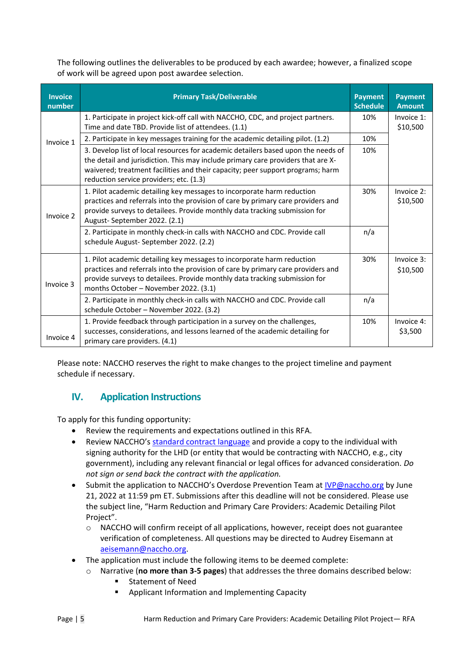The following outlines the deliverables to be produced by each awardee; however, a finalized scope of work will be agreed upon post awardee selection.

| <b>Invoice</b><br>number | <b>Primary Task/Deliverable</b>                                                                                                                                                                                                                                                                    | <b>Payment</b><br><b>Schedule</b> | <b>Payment</b><br><b>Amount</b> |
|--------------------------|----------------------------------------------------------------------------------------------------------------------------------------------------------------------------------------------------------------------------------------------------------------------------------------------------|-----------------------------------|---------------------------------|
| Invoice 1                | 1. Participate in project kick-off call with NACCHO, CDC, and project partners.<br>Time and date TBD. Provide list of attendees. (1.1)                                                                                                                                                             | 10%                               | Invoice 1:<br>\$10,500          |
|                          | 2. Participate in key messages training for the academic detailing pilot. (1.2)                                                                                                                                                                                                                    | 10%                               |                                 |
|                          | 3. Develop list of local resources for academic detailers based upon the needs of<br>the detail and jurisdiction. This may include primary care providers that are X-<br>waivered; treatment facilities and their capacity; peer support programs; harm<br>reduction service providers; etc. (1.3) | 10%                               |                                 |
| Invoice 2                | 1. Pilot academic detailing key messages to incorporate harm reduction<br>practices and referrals into the provision of care by primary care providers and<br>provide surveys to detailees. Provide monthly data tracking submission for<br>August-September 2022. (2.1)                           | 30%                               | Invoice 2:<br>\$10,500          |
|                          | 2. Participate in monthly check-in calls with NACCHO and CDC. Provide call<br>schedule August-September 2022. (2.2)                                                                                                                                                                                | n/a                               |                                 |
| Invoice 3                | 1. Pilot academic detailing key messages to incorporate harm reduction<br>practices and referrals into the provision of care by primary care providers and<br>provide surveys to detailees. Provide monthly data tracking submission for<br>months October - November 2022. (3.1)                  | 30%                               | Invoice 3:<br>\$10,500          |
|                          | 2. Participate in monthly check-in calls with NACCHO and CDC. Provide call<br>schedule October - November 2022. (3.2)                                                                                                                                                                              | n/a                               |                                 |
| Invoice 4                | 1. Provide feedback through participation in a survey on the challenges,<br>successes, considerations, and lessons learned of the academic detailing for<br>primary care providers. (4.1)                                                                                                          | 10%                               | Invoice 4:<br>\$3,500           |

Please note: NACCHO reserves the right to make changes to the project timeline and payment schedule if necessary.

## **IV. Application Instructions**

To apply for this funding opportunity:

- Review the requirements and expectations outlined in this RFA.
- Review NACCHO's [standard contract language](http://www.naccho.org/uploads/card-images/environmental-health/01_Consultant-Template-for-Members.docx) and provide a copy to the individual with signing authority for the LHD (or entity that would be contracting with NACCHO, e.g., city government), including any relevant financial or legal offices for advanced consideration. *Do not sign or send back the contract with the application.*
- Submit the application to NACCHO's Overdose Prevention Team at [IVP@naccho.org](mailto:IVP@naccho.org) by June 21, 2022 at 11:59 pm ET. Submissions after this deadline will not be considered. Please use the subject line, "Harm Reduction and Primary Care Providers: Academic Detailing Pilot Project".
	- $\circ$  NACCHO will confirm receipt of all applications, however, receipt does not guarantee verification of completeness. All questions may be directed to Audrey Eisemann at [aeisemann@naccho.org.](mailto:aeisemann@naccho.org)
- The application must include the following items to be deemed complete:
	- o Narrative (**no more than 3-5 pages**) that addresses the three domains described below:
		- Statement of Need
		- Applicant Information and Implementing Capacity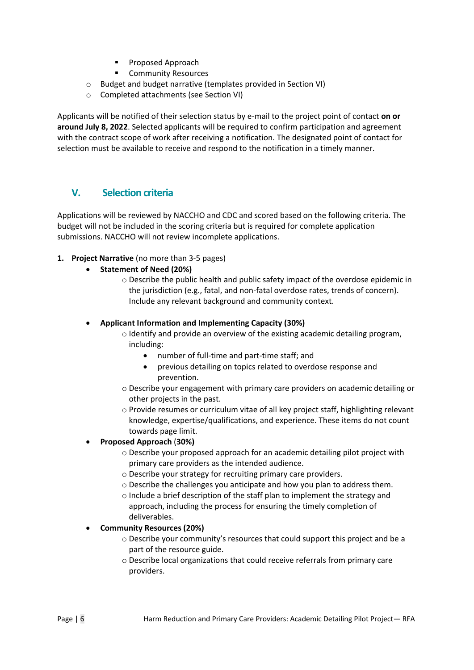- Proposed Approach
- Community Resources
- o Budget and budget narrative (templates provided in Section VI)
- o Completed attachments (see Section VI)

Applicants will be notified of their selection status by e-mail to the project point of contact **on or around July 8, 2022**. Selected applicants will be required to confirm participation and agreement with the contract scope of work after receiving a notification. The designated point of contact for selection must be available to receive and respond to the notification in a timely manner.

## **V. Selection criteria**

Applications will be reviewed by NACCHO and CDC and scored based on the following criteria. The budget will not be included in the scoring criteria but is required for complete application submissions. NACCHO will not review incomplete applications.

#### **1. Project Narrative** (no more than 3-5 pages)

- **Statement of Need (20%)**
	- o Describe the public health and public safety impact of the overdose epidemic in the jurisdiction (e.g., fatal, and non-fatal overdose rates, trends of concern). Include any relevant background and community context.

#### • **Applicant Information and Implementing Capacity (30%)**

- o Identify and provide an overview of the existing academic detailing program, including:
	- number of full-time and part-time staff; and
	- previous detailing on topics related to overdose response and prevention.
- $\circ$  Describe your engagement with primary care providers on academic detailing or other projects in the past.
- o Provide resumes or curriculum vitae of all key project staff, highlighting relevant knowledge, expertise/qualifications, and experience. These items do not count towards page limit.

#### • **Proposed Approach** (**30%)**

- o Describe your proposed approach for an academic detailing pilot project with primary care providers as the intended audience.
- o Describe your strategy for recruiting primary care providers.
- $\circ$  Describe the challenges you anticipate and how you plan to address them.
- $\circ$  Include a brief description of the staff plan to implement the strategy and approach, including the process for ensuring the timely completion of deliverables.

#### • **Community Resources (20%)**

- o Describe your community's resources that could support this project and be a part of the resource guide.
- o Describe local organizations that could receive referrals from primary care providers.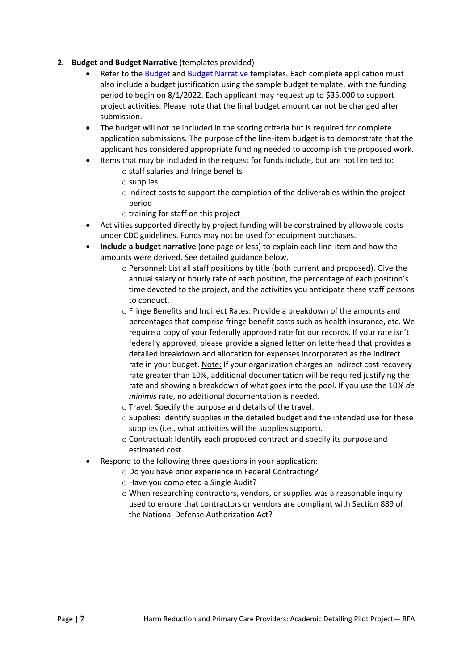- **2. Budget and Budget Narrative** (templates provided)
	- Refer to the [Budget](https://www.naccho.org/uploads/full-width-images/Budget-sample-blank_FIN.xlsx) an[d Budget Narrative](https://www.naccho.org/uploads/downloadable-resources/Budget-narrative-template_blank.docx) templates. Each complete application must also include a budget justification using the sample budget template, with the funding period to begin on 8/1/2022. Each applicant may request up to \$35,000 to support project activities. Please note that the final budget amount cannot be changed after submission.
	- The budget will not be included in the scoring criteria but is required for complete application submissions. The purpose of the line-item budget is to demonstrate that the applicant has considered appropriate funding needed to accomplish the proposed work.
	- Items that may be included in the request for funds include, but are not limited to:
		- o staff salaries and fringe benefits
		- o supplies
		- o indirect costs to support the completion of the deliverables within the project period
		- o training for staff on this project
	- Activities supported directly by project funding will be constrained by allowable costs under CDC guidelines. Funds may not be used for equipment purchases.
	- **Include a budget narrative** (one page or less) to explain each line-item and how the amounts were derived. See detailed guidance below.
		- $\circ$  Personnel: List all staff positions by title (both current and proposed). Give the annual salary or hourly rate of each position, the percentage of each position's time devoted to the project, and the activities you anticipate these staff persons to conduct.
		- o Fringe Benefits and Indirect Rates: Provide a breakdown of the amounts and percentages that comprise fringe benefit costs such as health insurance, etc. We require a copy of your federally approved rate for our records. If your rate isn't federally approved, please provide a signed letter on letterhead that provides a detailed breakdown and allocation for expenses incorporated as the indirect rate in your budget. Note: If your organization charges an indirect cost recovery rate greater than 10%, additional documentation will be required justifying the rate and showing a breakdown of what goes into the pool. If you use the 10% *de minimis* rate, no additional documentation is needed.
		- o Travel: Specify the purpose and details of the travel.
		- o Supplies: Identify supplies in the detailed budget and the intended use for these supplies (i.e., what activities will the supplies support).
		- o Contractual: Identify each proposed contract and specify its purpose and estimated cost.
	- Respond to the following three questions in your application:
		- o Do you have prior experience in Federal Contracting?
			- o Have you completed a Single Audit?
			- $\circ$  When researching contractors, vendors, or supplies was a reasonable inquiry used to ensure that contractors or vendors are compliant with Section 889 of the National Defense Authorization Act?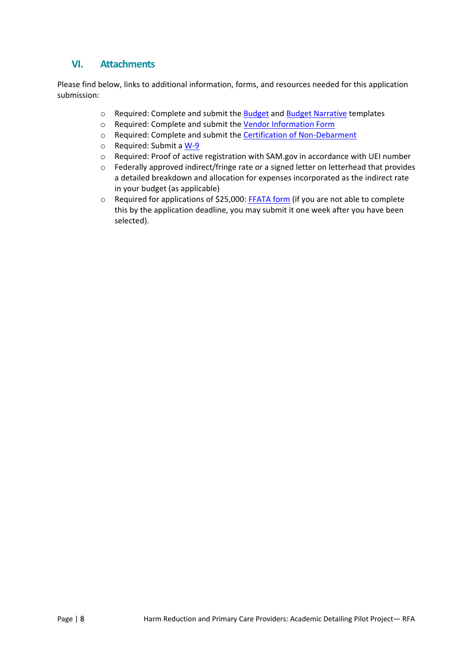## **VI. Attachments**

Please find below, links to additional information, forms, and resources needed for this application submission:

- o Required: Complete and submit the [Budget](https://www.naccho.org/uploads/full-width-images/Budget-sample-blank_FIN.xlsx) and [Budget Narrative](https://www.naccho.org/uploads/downloadable-resources/Budget-narrative-template_blank.docx) templates
- o Required: Complete and submit the [Vendor Information Form](https://www.naccho.org/uploads/downloadable-resources/Vendor-Form.pdf)
- o Required: Complete and submit the [Certification of Non-Debarment](https://www.naccho.org/uploads/downloadable-resources/Certification-of-Non-Debarment.pdf)
- o Required: Submit a [W-9](https://www.naccho.org/uploads/downloadable-resources/W-9-Blank.pdf)
- o Required: Proof of active registration with SAM.gov in accordance with UEI number
- o Federally approved indirect/fringe rate or a signed letter on letterhead that provides a detailed breakdown and allocation for expenses incorporated as the indirect rate in your budget (as applicable)
- o Required for applications of \$25,000: [FFATA form](https://www.naccho.org/uploads/downloadable-resources/FFATA-Data-Collection-Form.E.pdf) (if you are not able to complete this by the application deadline, you may submit it one week after you have been selected).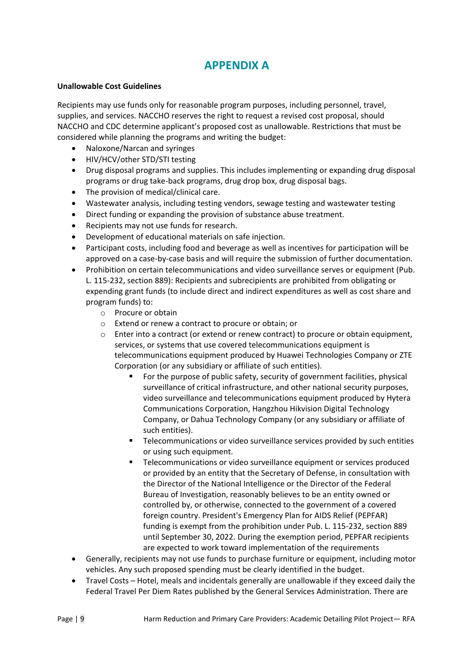## **APPENDIX A**

#### **Unallowable Cost Guidelines**

Recipients may use funds only for reasonable program purposes, including personnel, travel, supplies, and services. NACCHO reserves the right to request a revised cost proposal, should NACCHO and CDC determine applicant's proposed cost as unallowable. Restrictions that must be considered while planning the programs and writing the budget:

- Naloxone/Narcan and syringes
- HIV/HCV/other STD/STI testing
- Drug disposal programs and supplies. This includes implementing or expanding drug disposal programs or drug take-back programs, drug drop box, drug disposal bags.
- The provision of medical/clinical care.
- Wastewater analysis, including testing vendors, sewage testing and wastewater testing
- Direct funding or expanding the provision of substance abuse treatment.
- Recipients may not use funds for research.
- Development of educational materials on safe injection.
- Participant costs, including food and beverage as well as incentives for participation will be approved on a case-by-case basis and will require the submission of further documentation.
- Prohibition on certain telecommunications and video surveillance serves or equipment (Pub. L. 115-232, section 889): Recipients and subrecipients are prohibited from obligating or expending grant funds (to include direct and indirect expenditures as well as cost share and program funds) to:
	- o Procure or obtain
	- o Extend or renew a contract to procure or obtain; or
	- $\circ$  Enter into a contract (or extend or renew contract) to procure or obtain equipment, services, or systems that use covered telecommunications equipment is telecommunications equipment produced by Huawei Technologies Company or ZTE Corporation (or any subsidiary or affiliate of such entities).
		- For the purpose of public safety, security of government facilities, physical surveillance of critical infrastructure, and other national security purposes, video surveillance and telecommunications equipment produced by Hytera Communications Corporation, Hangzhou Hikvision Digital Technology Company, or Dahua Technology Company (or any subsidiary or affiliate of such entities).
		- **EXECOMMUNICATE:** Telecommunications or video surveillance services provided by such entities or using such equipment.
		- Telecommunications or video surveillance equipment or services produced or provided by an entity that the Secretary of Defense, in consultation with the Director of the National Intelligence or the Director of the Federal Bureau of Investigation, reasonably believes to be an entity owned or controlled by, or otherwise, connected to the government of a covered foreign country. President's Emergency Plan for AIDS Relief (PEPFAR) funding is exempt from the prohibition under Pub. L. 115-232, section 889 until September 30, 2022. During the exemption period, PEPFAR recipients are expected to work toward implementation of the requirements
- Generally, recipients may not use funds to purchase furniture or equipment, including motor vehicles. Any such proposed spending must be clearly identified in the budget.
- Travel Costs Hotel, meals and incidentals generally are unallowable if they exceed daily the Federal Travel Per Diem Rates published by the General Services Administration. There are